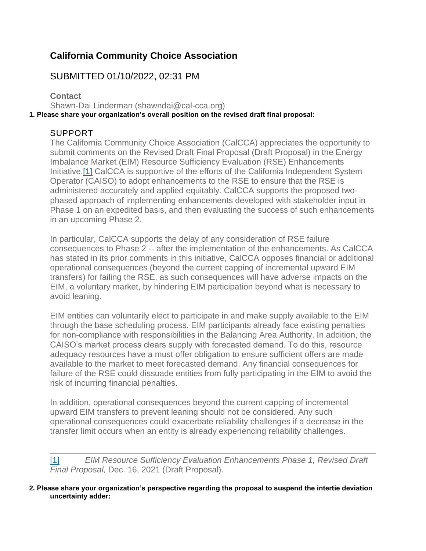## **California Community Choice Association**

## SUBMITTED 01/10/2022, 02:31 PM

**Contact** Shawn-Dai Linderman (shawndai@cal-cca.org) **1. Please share your organization's overall position on the revised draft final proposal:**

## SUPPORT

The California Community Choice Association (CalCCA) appreciates the opportunity to submit comments on the Revised Draft Final Proposal (Draft Proposal) in the Energy Imbalance Market (EIM) Resource Sufficiency Evaluation (RSE) Enhancements Initiative[.\[1\]](https://stakeholdercenter.caiso.com/Comments/AllComments/5293F8FD-AB86-47EA-9168-3ED6DD8B8A68#_E8E7F8D9-48B8-4434-8A99-5E255AB5831Dftn1) CalCCA is supportive of the efforts of the California Independent System Operator (CAISO) to adopt enhancements to the RSE to ensure that the RSE is administered accurately and applied equitably. CalCCA supports the proposed twophased approach of implementing enhancements developed with stakeholder input in Phase 1 on an expedited basis, and then evaluating the success of such enhancements in an upcoming Phase 2.

In particular, CalCCA supports the delay of any consideration of RSE failure consequences to Phase 2 -- after the implementation of the enhancements. As CalCCA has stated in its prior comments in this initiative, CalCCA opposes financial or additional operational consequences (beyond the current capping of incremental upward EIM transfers) for failing the RSE, as such consequences will have adverse impacts on the EIM, a voluntary market, by hindering EIM participation beyond what is necessary to avoid leaning.

EIM entities can voluntarily elect to participate in and make supply available to the EIM through the base scheduling process. EIM participants already face existing penalties for non-compliance with responsibilities in the Balancing Area Authority. In addition, the CAISO's market process clears supply with forecasted demand. To do this, resource adequacy resources have a must offer obligation to ensure sufficient offers are made available to the market to meet forecasted demand. Any financial consequences for failure of the RSE could dissuade entities from fully participating in the EIM to avoid the risk of incurring financial penalties.

In addition, operational consequences beyond the current capping of incremental upward EIM transfers to prevent leaning should not be considered. Any such operational consequences could exacerbate reliability challenges if a decrease in the transfer limit occurs when an entity is already experiencing reliability challenges.

[\[1\]](https://stakeholdercenter.caiso.com/Comments/AllComments/5293F8FD-AB86-47EA-9168-3ED6DD8B8A68#_E8E7F8D9-48B8-4434-8A99-5E255AB5831Dftnref1) *EIM Resource Sufficiency Evaluation Enhancements Phase 1, Revised Draft Final Proposal,* Dec. 16, 2021 (Draft Proposal).

**2. Please share your organization's perspective regarding the proposal to suspend the intertie deviation uncertainty adder:**